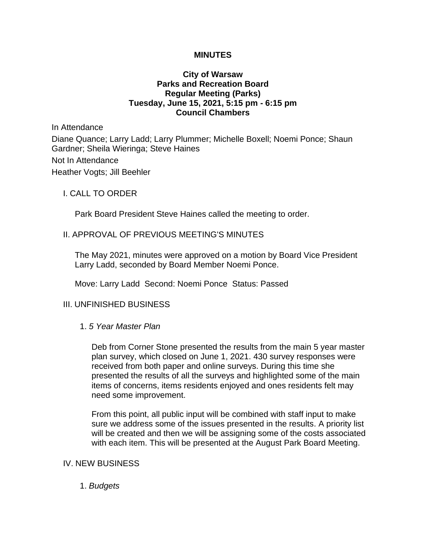### **MINUTES**

# **City of Warsaw Parks and Recreation Board Regular Meeting (Parks) Tuesday, June 15, 2021, 5:15 pm - 6:15 pm Council Chambers**

In Attendance

Diane Quance; Larry Ladd; Larry Plummer; Michelle Boxell; Noemi Ponce; Shaun Gardner; Sheila Wieringa; Steve Haines

Not In Attendance

Heather Vogts; Jill Beehler

I. CALL TO ORDER

Park Board President Steve Haines called the meeting to order.

### II. APPROVAL OF PREVIOUS MEETING'S MINUTES

The May 2021, minutes were approved on a motion by Board Vice President Larry Ladd, seconded by Board Member Noemi Ponce.

Move: Larry Ladd Second: Noemi Ponce Status: Passed

# III. UNFINISHED BUSINESS

### 1. *5 Year Master Plan*

Deb from Corner Stone presented the results from the main 5 year master plan survey, which closed on June 1, 2021. 430 survey responses were received from both paper and online surveys. During this time she presented the results of all the surveys and highlighted some of the main items of concerns, items residents enjoyed and ones residents felt may need some improvement.

From this point, all public input will be combined with staff input to make sure we address some of the issues presented in the results. A priority list will be created and then we will be assigning some of the costs associated with each item. This will be presented at the August Park Board Meeting.

### IV. NEW BUSINESS

1. *Budgets*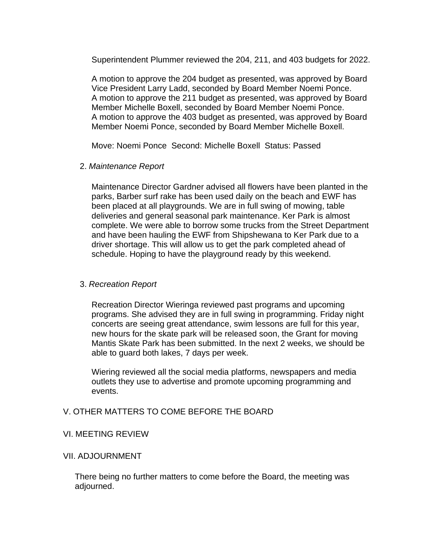Superintendent Plummer reviewed the 204, 211, and 403 budgets for 2022.

A motion to approve the 204 budget as presented, was approved by Board Vice President Larry Ladd, seconded by Board Member Noemi Ponce. A motion to approve the 211 budget as presented, was approved by Board Member Michelle Boxell, seconded by Board Member Noemi Ponce. A motion to approve the 403 budget as presented, was approved by Board Member Noemi Ponce, seconded by Board Member Michelle Boxell.

Move: Noemi Ponce Second: Michelle Boxell Status: Passed

### 2. *Maintenance Report*

Maintenance Director Gardner advised all flowers have been planted in the parks, Barber surf rake has been used daily on the beach and EWF has been placed at all playgrounds. We are in full swing of mowing, table deliveries and general seasonal park maintenance. Ker Park is almost complete. We were able to borrow some trucks from the Street Department and have been hauling the EWF from Shipshewana to Ker Park due to a driver shortage. This will allow us to get the park completed ahead of schedule. Hoping to have the playground ready by this weekend.

# 3. *Recreation Report*

Recreation Director Wieringa reviewed past programs and upcoming programs. She advised they are in full swing in programming. Friday night concerts are seeing great attendance, swim lessons are full for this year, new hours for the skate park will be released soon, the Grant for moving Mantis Skate Park has been submitted. In the next 2 weeks, we should be able to guard both lakes, 7 days per week.

Wiering reviewed all the social media platforms, newspapers and media outlets they use to advertise and promote upcoming programming and events.

# V. OTHER MATTERS TO COME BEFORE THE BOARD

# VI. MEETING REVIEW

### VII. ADJOURNMENT

There being no further matters to come before the Board, the meeting was adjourned.